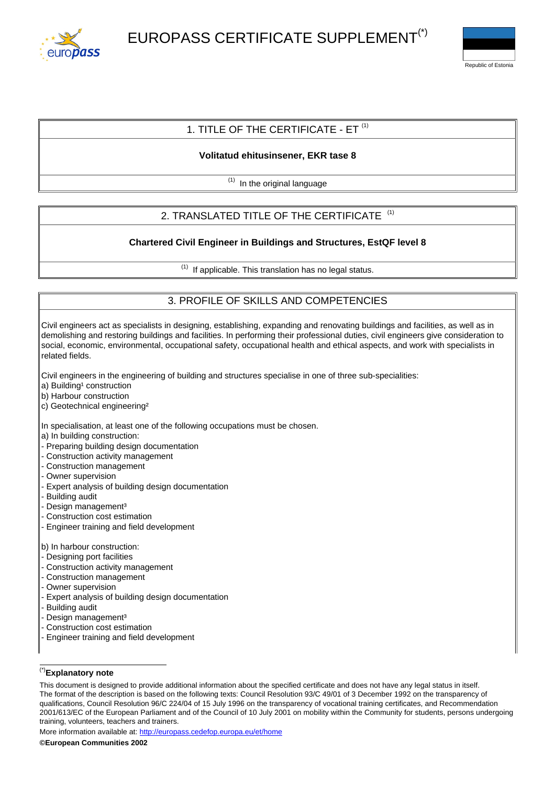



# 1. TITLE OF THE CERTIFICATE - FT  $<sup>(1)</sup>$ </sup>

### **Volitatud ehitusinsener, EKR tase 8**

 $\overline{^{(1)}}$  In the original language

# 2. TRANSLATED TITLE OF THE CERTIFICATE<sup>(1)</sup>

## **Chartered Civil Engineer in Buildings and Structures, EstQF level 8**

 $(1)$  If applicable. This translation has no legal status.

# 3. PROFILE OF SKILLS AND COMPETENCIES

Civil engineers act as specialists in designing, establishing, expanding and renovating buildings and facilities, as well as in demolishing and restoring buildings and facilities. In performing their professional duties, civil engineers give consideration to social, economic, environmental, occupational safety, occupational health and ethical aspects, and work with specialists in related fields.

Civil engineers in the engineering of building and structures specialise in one of three sub-specialities:

- a) Building<sup>1</sup> construction
- b) Harbour construction
- c) Geotechnical engineering²

In specialisation, at least one of the following occupations must be chosen.

- a) In building construction:
- Preparing building design documentation
- Construction activity management
- Construction management
- Owner supervision
- Expert analysis of building design documentation
- Building audit
- Design management<sup>3</sup>
- Construction cost estimation
- Engineer training and field development

b) In harbour construction:

- Designing port facilities
- Construction activity management
- Construction management
- Owner supervision
- Expert analysis of building design documentation
- Building audit
- Design management<sup>3</sup>
- Construction cost estimation
- Engineer training and field development

### (\*)**Explanatory note**

More information available at: <http://europass.cedefop.europa.eu/et/home>

This document is designed to provide additional information about the specified certificate and does not have any legal status in itself. The format of the description is based on the following texts: Council Resolution 93/C 49/01 of 3 December 1992 on the transparency of qualifications, Council Resolution 96/C 224/04 of 15 July 1996 on the transparency of vocational training certificates, and Recommendation 2001/613/EC of the European Parliament and of the Council of 10 July 2001 on mobility within the Community for students, persons undergoing training, volunteers, teachers and trainers.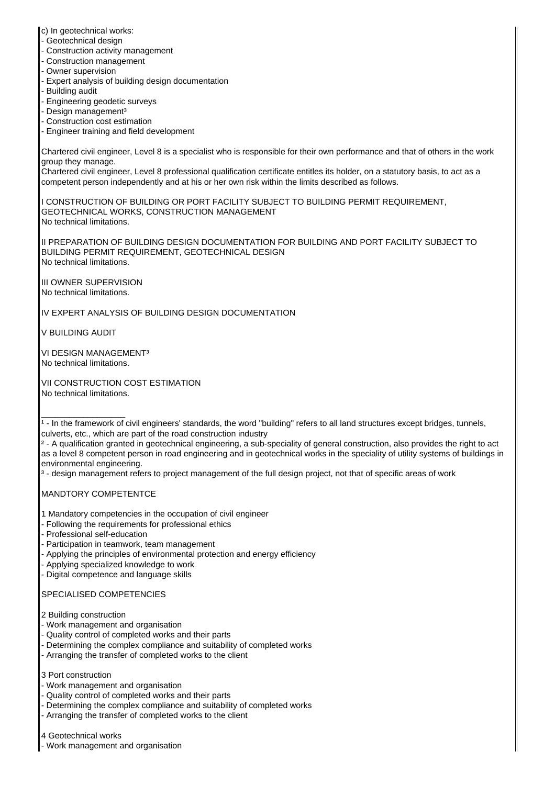c) In geotechnical works:

- Geotechnical design
- Construction activity management
- Construction management
- Owner supervision
- Expert analysis of building design documentation
- Building audit
- Engineering geodetic surveys
- Design management<sup>3</sup>
- Construction cost estimation
- Engineer training and field development

Chartered civil engineer, Level 8 is a specialist who is responsible for their own performance and that of others in the work group they manage.

Chartered civil engineer, Level 8 professional qualification certificate entitles its holder, on a statutory basis, to act as a competent person independently and at his or her own risk within the limits described as follows.

I CONSTRUCTION OF BUILDING OR PORT FACILITY SUBJECT TO BUILDING PERMIT REQUIREMENT, GEOTECHNICAL WORKS, CONSTRUCTION MANAGEMENT No technical limitations.

II PREPARATION OF BUILDING DESIGN DOCUMENTATION FOR BUILDING AND PORT FACILITY SUBJECT TO BUILDING PERMIT REQUIREMENT, GEOTECHNICAL DESIGN No technical limitations.

III OWNER SUPERVISION No technical limitations.

IV EXPERT ANALYSIS OF BUILDING DESIGN DOCUMENTATION

V BUILDING AUDIT

\_\_\_\_\_\_\_\_\_\_\_\_\_\_\_\_\_\_

VI DESIGN MANAGEMENT<sup>3</sup> No technical limitations.

VII CONSTRUCTION COST ESTIMATION No technical limitations.

² - A qualification granted in geotechnical engineering, a sub-speciality of general construction, also provides the right to act as a level 8 competent person in road engineering and in geotechnical works in the speciality of utility systems of buildings in environmental engineering.

<sup>3</sup> - design management refers to project management of the full design project, not that of specific areas of work

MANDTORY COMPETENTCE

- 1 Mandatory competencies in the occupation of civil engineer
- Following the requirements for professional ethics
- Professional self-education
- Participation in teamwork, team management
- Applying the principles of environmental protection and energy efficiency
- Applying specialized knowledge to work
- Digital competence and language skills

## SPECIALISED COMPETENCIES

- 2 Building construction
- Work management and organisation
- Quality control of completed works and their parts
- Determining the complex compliance and suitability of completed works
- Arranging the transfer of completed works to the client

3 Port construction

- Work management and organisation
- Quality control of completed works and their parts
- Determining the complex compliance and suitability of completed works
- Arranging the transfer of completed works to the client

4 Geotechnical works

- Work management and organisation

 $\vert$ <sup>1</sup> - In the framework of civil engineers' standards, the word "building" refers to all land structures except bridges, tunnels, culverts, etc., which are part of the road construction industry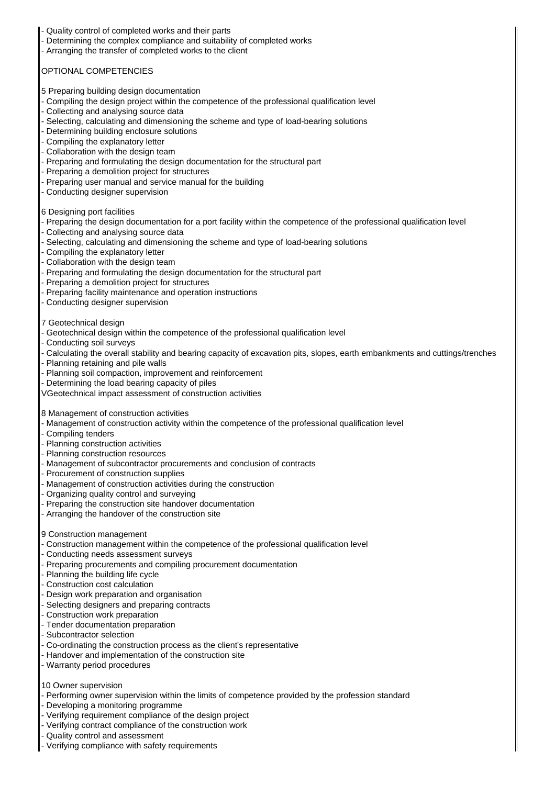- Quality control of completed works and their parts
- Determining the complex compliance and suitability of completed works
- Arranging the transfer of completed works to the client

### OPTIONAL COMPETENCIES

- 5 Preparing building design documentation
- Compiling the design project within the competence of the professional qualification level
- Collecting and analysing source data
- Selecting, calculating and dimensioning the scheme and type of load-bearing solutions
- Determining building enclosure solutions
- Compiling the explanatory letter
- Collaboration with the design team
- Preparing and formulating the design documentation for the structural part
- Preparing a demolition project for structures
- Preparing user manual and service manual for the building
- Conducting designer supervision

#### 6 Designing port facilities

- Preparing the design documentation for a port facility within the competence of the professional qualification level
- Collecting and analysing source data
- Selecting, calculating and dimensioning the scheme and type of load-bearing solutions
- Compiling the explanatory letter
- Collaboration with the design team
- Preparing and formulating the design documentation for the structural part
- Preparing a demolition project for structures
- Preparing facility maintenance and operation instructions
- Conducting designer supervision

#### 7 Geotechnical design

- Geotechnical design within the competence of the professional qualification level
- Conducting soil surveys
- Calculating the overall stability and bearing capacity of excavation pits, slopes, earth embankments and cuttings/trenches
- Planning retaining and pile walls
- Planning soil compaction, improvement and reinforcement
- Determining the load bearing capacity of piles
- VGeotechnical impact assessment of construction activities

8 Management of construction activities

- Management of construction activity within the competence of the professional qualification level
- Compiling tenders
- Planning construction activities
- Planning construction resources
- Management of subcontractor procurements and conclusion of contracts
- Procurement of construction supplies
- Management of construction activities during the construction
- Organizing quality control and surveying
- Preparing the construction site handover documentation
- Arranging the handover of the construction site

#### 9 Construction management

- Construction management within the competence of the professional qualification level
- Conducting needs assessment surveys
- Preparing procurements and compiling procurement documentation
- Planning the building life cycle
- Construction cost calculation
- Design work preparation and organisation
- Selecting designers and preparing contracts
- Construction work preparation
- Tender documentation preparation
- Subcontractor selection
- Co-ordinating the construction process as the client's representative
- Handover and implementation of the construction site
- Warranty period procedures
- 10 Owner supervision
- Performing owner supervision within the limits of competence provided by the profession standard
- Developing a monitoring programme
- Verifying requirement compliance of the design project
- Verifying contract compliance of the construction work
- Quality control and assessment
- Verifying compliance with safety requirements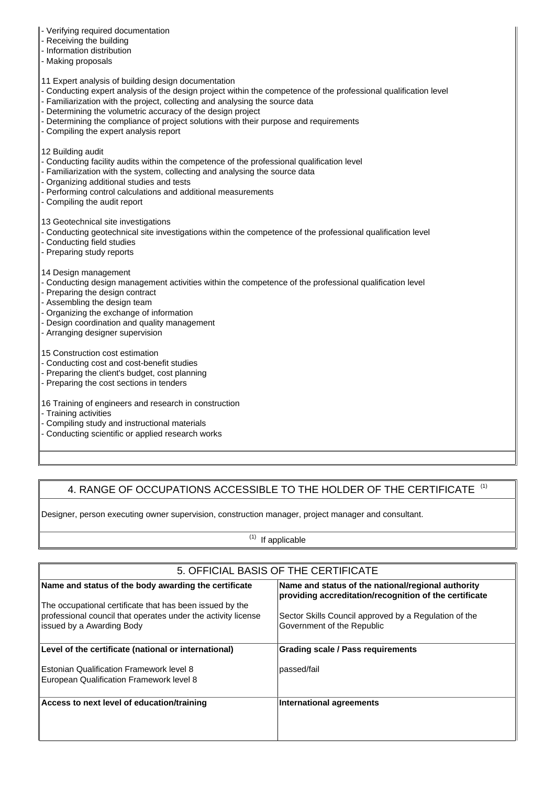- Verifying required documentation
- Receiving the building
- Information distribution
- Making proposals
- 11 Expert analysis of building design documentation
- Conducting expert analysis of the design project within the competence of the professional qualification level
- Familiarization with the project, collecting and analysing the source data
- Determining the volumetric accuracy of the design project
- Determining the compliance of project solutions with their purpose and requirements
- Compiling the expert analysis report
- 12 Building audit
- Conducting facility audits within the competence of the professional qualification level
- Familiarization with the system, collecting and analysing the source data
- Organizing additional studies and tests
- Performing control calculations and additional measurements
- Compiling the audit report

13 Geotechnical site investigations

- Conducting geotechnical site investigations within the competence of the professional qualification level
- Conducting field studies
- Preparing study reports
- 14 Design management
- Conducting design management activities within the competence of the professional qualification level
- Preparing the design contract
- Assembling the design team
- Organizing the exchange of information
- Design coordination and quality management
- Arranging designer supervision

15 Construction cost estimation

- Conducting cost and cost-benefit studies
- Preparing the client's budget, cost planning
- Preparing the cost sections in tenders
- 16 Training of engineers and research in construction
- Training activities
- Compiling study and instructional materials
- Conducting scientific or applied research works

# 4. RANGE OF OCCUPATIONS ACCESSIBLE TO THE HOLDER OF THE CERTIFICATE <sup>(1)</sup>

Designer, person executing owner supervision, construction manager, project manager and consultant.

 $(1)$  If applicable

| 5. OFFICIAL BASIS OF THE CERTIFICATE                                                                                                                                              |                                                                                                                                                                       |
|-----------------------------------------------------------------------------------------------------------------------------------------------------------------------------------|-----------------------------------------------------------------------------------------------------------------------------------------------------------------------|
| Name and status of the body awarding the certificate<br>The occupational certificate that has been issued by the<br>professional council that operates under the activity license | Name and status of the national/regional authority<br>providing accreditation/recognition of the certificate<br>Sector Skills Council approved by a Regulation of the |
| ssued by a Awarding Body                                                                                                                                                          | Government of the Republic                                                                                                                                            |
| Level of the certificate (national or international)                                                                                                                              | <b>Grading scale / Pass requirements</b>                                                                                                                              |
| Estonian Qualification Framework level 8<br>European Qualification Framework level 8                                                                                              | passed/fail                                                                                                                                                           |
| Access to next level of education/training                                                                                                                                        | International agreements                                                                                                                                              |
|                                                                                                                                                                                   |                                                                                                                                                                       |